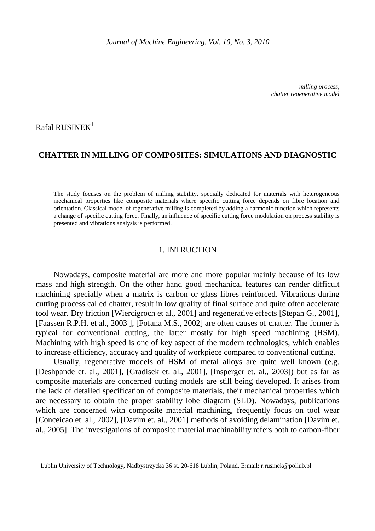*milling process, chatter regenerative model* 

Rafal RUSINE $K<sup>1</sup>$ 

\_\_\_\_\_\_\_\_\_\_\_\_

# **CHATTER IN MILLING OF COMPOSITES: SIMULATIONS AND DIAGNOSTIC**

The study focuses on the problem of milling stability, specially dedicated for materials with heterogeneous mechanical properties like composite materials where specific cutting force depends on fibre location and orientation. Classical model of regenerative milling is completed by adding a harmonic function which represents a change of specific cutting force. Finally, an influence of specific cutting force modulation on process stability is presented and vibrations analysis is performed.

### 1. INTRUCTION

Nowadays, composite material are more and more popular mainly because of its low mass and high strength. On the other hand good mechanical features can render difficult machining specially when a matrix is carbon or glass fibres reinforced. Vibrations during cutting process called chatter, result in low quality of final surface and quite often accelerate tool wear. Dry friction [Wiercigroch et al., 2001] and regenerative effects [Stepan G., 2001], [Faassen R.P.H. et al., 2003 ], [Fofana M.S., 2002] are often causes of chatter. The former is typical for conventional cutting, the latter mostly for high speed machining (HSM). Machining with high speed is one of key aspect of the modern technologies, which enables to increase efficiency, accuracy and quality of workpiece compared to conventional cutting.

Usually, regenerative models of HSM of metal alloys are quite well known (e.g. [Deshpande et. al., 2001], [Gradisek et. al., 2001], [Insperger et. al., 2003]) but as far as composite materials are concerned cutting models are still being developed. It arises from the lack of detailed specification of composite materials, their mechanical properties which are necessary to obtain the proper stability lobe diagram (SLD). Nowadays, publications which are concerned with composite material machining, frequently focus on tool wear [Conceicao et. al., 2002], [Davim et. al., 2001] methods of avoiding delamination [Davim et. al., 2005]. The investigations of composite material machinability refers both to carbon-fiber

<sup>&</sup>lt;sup>1</sup> Lublin University of Technology, Nadbystrzycka 36 st. 20-618 Lublin, Poland. E:mail: r.rusinek@pollub.pl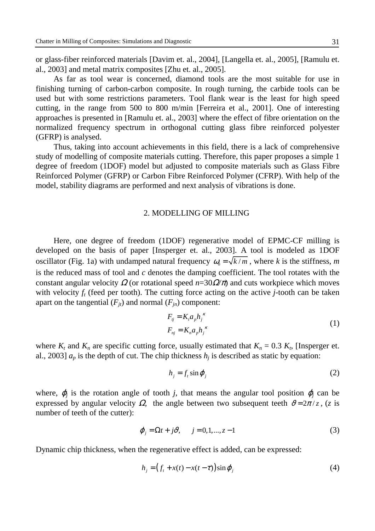or glass-fiber reinforced materials [Davim et. al., 2004], [Langella et. al., 2005], [Ramulu et. al., 2003] and metal matrix composites [Zhu et. al., 2005].

As far as tool wear is concerned, diamond tools are the most suitable for use in finishing turning of carbon-carbon composite. In rough turning, the carbide tools can be used but with some restrictions parameters. Tool flank wear is the least for high speed cutting, in the range from 500 to 800 m/min [Ferreira et al., 2001]. One of interesting approaches is presented in [Ramulu et. al., 2003] where the effect of fibre orientation on the normalized frequency spectrum in orthogonal cutting glass fibre reinforced polyester (GFRP) is analysed.

Thus, taking into account achievements in this field, there is a lack of comprehensive study of modelling of composite materials cutting. Therefore, this paper proposes a simple 1 degree of freedom (1DOF) model but adjusted to composite materials such as Glass Fibre Reinforced Polymer (GFRP) or Carbon Fibre Reinforced Polymer (CFRP). With help of the model, stability diagrams are performed and next analysis of vibrations is done.

## 2. MODELLING OF MILLING

Here, one degree of freedom (1DOF) regenerative model of EPMC-CF milling is developed on the basis of paper [Insperger et. al., 2003]. A tool is modeled as 1DOF oscillator (Fig. 1a) with undamped natural frequency  $\omega_0 = \sqrt{k/m}$ , where *k* is the stiffness, *m* is the reduced mass of tool and *c* denotes the damping coefficient. The tool rotates with the constant angular velocity  $\Omega$  (or rotational speed  $n=30\Omega/\pi$ ) and cuts workpiece which moves with velocity  $f_t$  (feed per tooth). The cutting force acting on the active  $j$ -tooth can be taken apart on the tangential  $(F_{it})$  and normal  $(F_{in})$  component:

$$
F_{ij} = K_i a_p h_j^{\kappa}
$$
  
\n
$$
F_{nj} = K_n a_p h_j^{\kappa}
$$
\n(1)

where  $K_t$  and  $K_n$  are specific cutting force, usually estimated that  $K_n = 0.3 K_t$ , [Insperger et. al., 2003]  $a_p$  is the depth of cut. The chip thickness  $h_j$  is described as static by equation:

$$
h_j = f_t \sin \varphi_j \tag{2}
$$

where,  $\varphi_j$  is the rotation angle of tooth *j*, that means the angular tool position  $\varphi_j$  can be expressed by angular velocity  $\Omega$ , the angle between two subsequent teeth  $\vartheta = 2\pi / z$ , (*z* is number of teeth of the cutter):

$$
\varphi_j = \Omega t + j \vartheta, \qquad j = 0, 1, \dots, z - 1 \tag{3}
$$

Dynamic chip thickness, when the regenerative effect is added, can be expressed:

$$
h_j = (f_t + x(t) - x(t - \tau))\sin\varphi_j \tag{4}
$$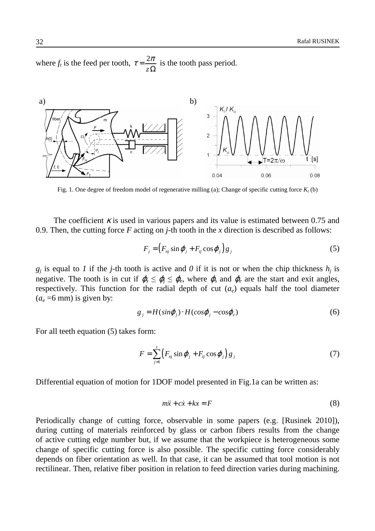where  $f_t$  is the feed per tooth,  $\tau = \frac{2}{\tau}$ *z*  $\tau = \frac{2\pi}{\sqrt{2}}$  $\Omega$ is the tooth pass period.



Fig. 1. One degree of freedom model of regenerative milling (a); Change of specific cutting force  $K_t$  (b)

The coefficient  $\kappa$  is used in various papers and its value is estimated between 0.75 and 0.9. Then, the cutting force *F* acting on *j*-th tooth in the *x* direction is described as follows:

$$
F_j = (F_{nj} \sin \varphi_j + F_{ij} \cos \varphi_j) g_j \tag{5}
$$

 $g_j$  is equal to *1* if the *j*-th tooth is active and *0* if it is not or when the chip thickness  $h_j$  is negative. The tooth is in cut if  $\varphi_s \leq \varphi_j \leq \varphi_e$ , where  $\varphi_s$  and  $\varphi_e$  are the start and exit angles, respectively. This function for the radial depth of cut  $(a_e)$  equals half the tool diameter  $(a_e = 6$  mm) is given by:

$$
g_j = H(\sin\varphi_j) \cdot H(\cos\varphi_j - \cos\varphi_e) \tag{6}
$$

For all teeth equation (5) takes form:

$$
F = \sum_{j=1}^{z} \left( F_{nj} \sin \varphi_j + F_{ij} \cos \varphi_j \right) g_j \tag{7}
$$

Differential equation of motion for 1DOF model presented in Fig.1a can be written as:

$$
m\ddot{x} + c\dot{x} + kx = F \tag{8}
$$

Periodically change of cutting force, observable in some papers (e.g. [Rusinek 2010]), during cutting of materials reinforced by glass or carbon fibers results from the change of active cutting edge number but, if we assume that the workpiece is heterogeneous some change of specific cutting force is also possible. The specific cutting force considerably depends on fiber orientation as well. In that case, it can be assumed that tool motion is not rectilinear. Then, relative fiber position in relation to feed direction varies during machining.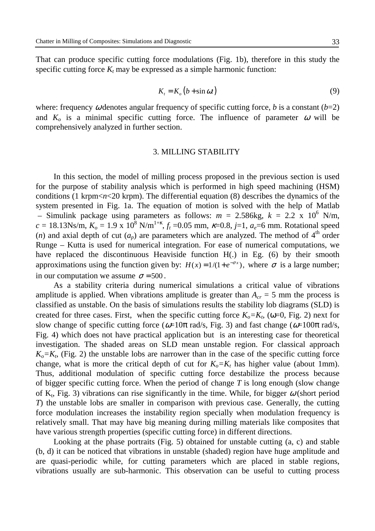That can produce specific cutting force modulations (Fig. 1b), therefore in this study the specific cutting force  $K_t$  may be expressed as a simple harmonic function:

$$
K_t = K_o (b + \sin \omega t) \tag{9}
$$

where: frequency  $\omega$  denotes angular frequency of specific cutting force, *b* is a constant (*b*=2) and  $K_0$  is a minimal specific cutting force. The influence of parameter  $\omega$  will be comprehensively analyzed in further section.

### 3. MILLING STABILITY

In this section, the model of milling process proposed in the previous section is used for the purpose of stability analysis which is performed in high speed machining (HSM) conditions (1 krpm<*n*<20 krpm). The differential equation (8) describes the dynamics of the system presented in Fig. 1a. The equation of motion is solved with the help of Matlab – Simulink package using parameters as follows:  $m = 2.586$ kg,  $k = 2.2 \times 10^6$  N/m,  $c = 18.13$ Ns/m,  $K_o = 1.9 \times 10^8$  N/m<sup>1+k</sup>,  $f_t = 0.05$  mm,  $\kappa = 0.8$ ,  $j = 1$ ,  $a_e = 6$  mm. Rotational speed (*n*) and axial depth of cut  $(a_p)$  are parameters which are analyzed. The method of  $4<sup>th</sup>$  order Runge – Kutta is used for numerical integration. For ease of numerical computations, we have replaced the discontinuous Heaviside function H(.) in Eg. (6) by their smooth approximations using the function given by:  $H(x) = 1/(1 + e^{-\sigma x})$ , where  $\sigma$  is a large number; in our computation we assume  $\sigma = 500$ .

As a stability criteria during numerical simulations a critical value of vibrations amplitude is applied. When vibrations amplitude is greater than  $A_{cr} = 5$  mm the process is classified as unstable. On the basis of simulations results the stability lob diagrams (SLD) is created for three cases. First, when the specific cutting force  $K_o = K_t$ , ( $\omega = 0$ , Fig. 2) next for slow change of specific cutting force ( $\omega$ =10 $\pi$  rad/s, Fig. 3) and fast change ( $\omega$ =100 $\pi$  rad/s, Fig. 4) which does not have practical application but is an interesting case for theoretical investigation. The shaded areas on SLD mean unstable region. For classical approach  $K_o = K_t$ , (Fig. 2) the unstable lobs are narrower than in the case of the specific cutting force change, what is more the critical depth of cut for  $K_o = K_t$  has higher value (about 1mm). Thus, additional modulation of specific cutting force destabilize the process because of bigger specific cutting force. When the period of change *T* is long enough (slow change of  $K_t$ , Fig. 3) vibrations can rise significantly in the time. While, for bigger  $\omega$  (short period *T*) the unstable lobs are smaller in comparison with previous case. Generally, the cutting force modulation increases the instability region specially when modulation frequency is relatively small. That may have big meaning during milling materials like composites that have various strength properties (specific cutting force) in different directions.

Looking at the phase portraits (Fig. 5) obtained for unstable cutting (a, c) and stable (b, d) it can be noticed that vibrations in unstable (shaded) region have huge amplitude and are quasi-periodic while, for cutting parameters which are placed in stable regions, vibrations usually are sub-harmonic. This observation can be useful to cutting process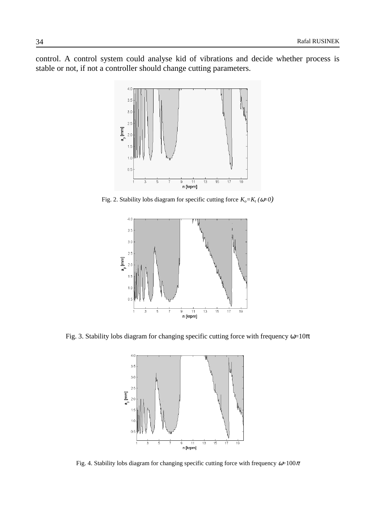control. A control system could analyse kid of vibrations and decide whether process is stable or not, if not a controller should change cutting parameters.



Fig. 2. Stability lobs diagram for specific cutting force  $K_o = K_t (\omega = 0)$ 



Fig. 3. Stability lobs diagram for changing specific cutting force with frequency  $\omega=10\pi$ 



Fig. 4. Stability lobs diagram for changing specific cutting force with frequency  $\omega=100\pi$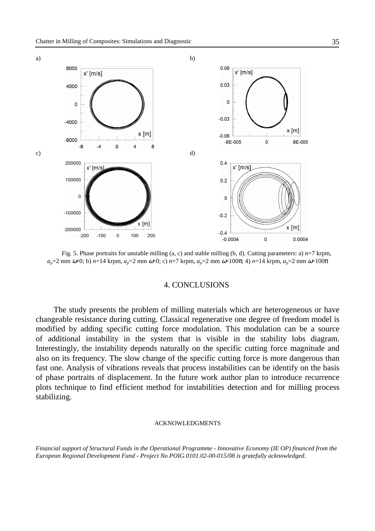

Fig. 5. Phase portraits for unstable milling (a, c) and stable milling (b, d). Cutting parameters: a) *n*=7 krpm, *ap*=2 mm ω=0; b) *n*=14 krpm, *ap*=2 mm ω=0; c) *n*=7 krpm, *ap*=2 mm ω=100π; 4) *n*=14 krpm, *ap*=2 mm ω=100π

#### 4. CONCLUSIONS

The study presents the problem of milling materials which are heterogeneous or have changeable resistance during cutting. Classical regenerative one degree of freedom model is modified by adding specific cutting force modulation. This modulation can be a source of additional instability in the system that is visible in the stability lobs diagram. Interestingly, the instability depends naturally on the specific cutting force magnitude and also on its frequency. The slow change of the specific cutting force is more dangerous than fast one. Analysis of vibrations reveals that process instabilities can be identify on the basis of phase portraits of displacement. In the future work author plan to introduce recurrence plots technique to find efficient method for instabilities detection and for milling process stabilizing.

#### ACKNOWLEDGMENTS

*Financial support of Structural Funds in the Operational Programme - Innovative Economy (IE OP) financed from the European Regional Development Fund - Project No POIG.0101.02-00-015/08 is gratefully acknowledged.*